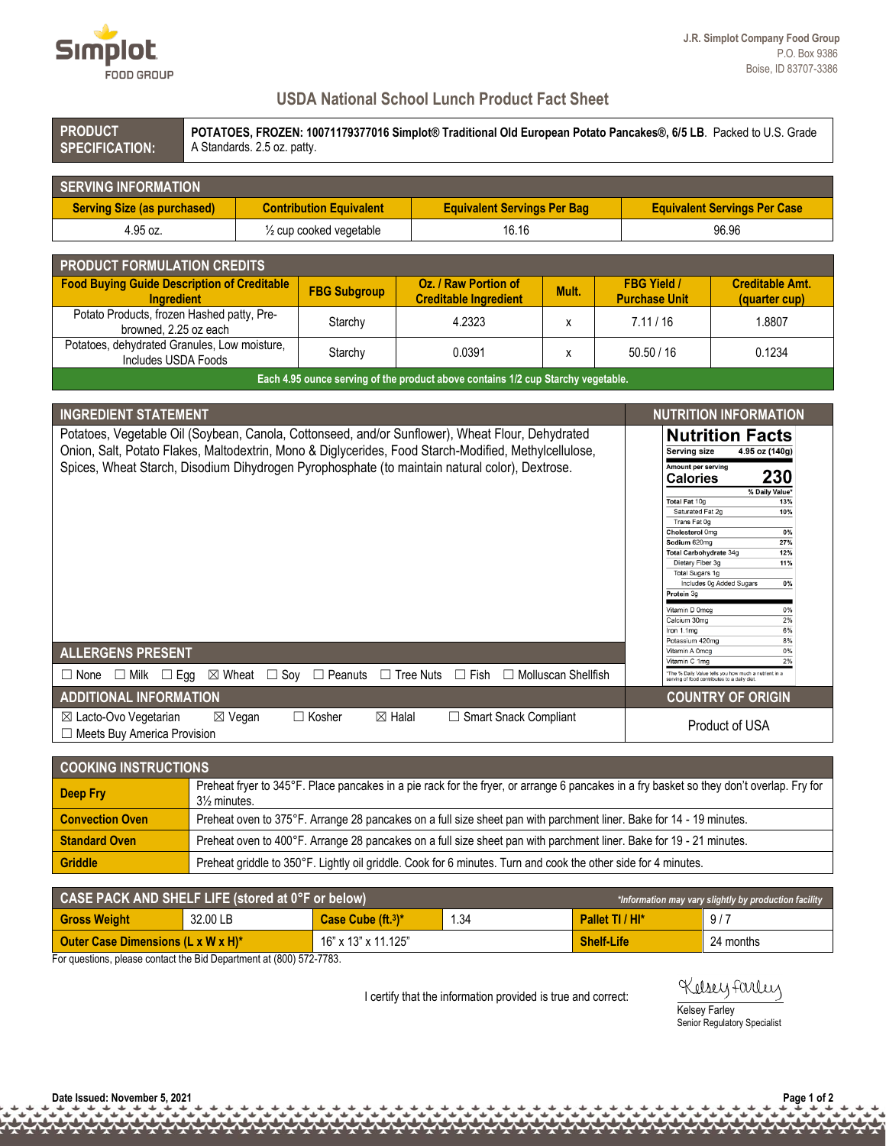

## **USDA National School Lunch Product Fact Sheet**

| <b>PRODUCT</b><br>POTATOES, FROZEN: 10071179377016 Simplot® Traditional Old European Potato Pancakes®, 6/5 LB. Packed to U.S. Grade<br>A Standards. 2.5 oz. patty.<br><b>SPECIFICATION:</b> |                                                                                                                     |                                                                                                                                          |                                                                                                                                                                                                                                                                                                                |       |                                                                                                                                                                                                                                                                                                                                           |                                                                                                                                                                                                                                                                 |  |  |  |
|---------------------------------------------------------------------------------------------------------------------------------------------------------------------------------------------|---------------------------------------------------------------------------------------------------------------------|------------------------------------------------------------------------------------------------------------------------------------------|----------------------------------------------------------------------------------------------------------------------------------------------------------------------------------------------------------------------------------------------------------------------------------------------------------------|-------|-------------------------------------------------------------------------------------------------------------------------------------------------------------------------------------------------------------------------------------------------------------------------------------------------------------------------------------------|-----------------------------------------------------------------------------------------------------------------------------------------------------------------------------------------------------------------------------------------------------------------|--|--|--|
| <b>SERVING INFORMATION</b>                                                                                                                                                                  |                                                                                                                     |                                                                                                                                          |                                                                                                                                                                                                                                                                                                                |       |                                                                                                                                                                                                                                                                                                                                           |                                                                                                                                                                                                                                                                 |  |  |  |
| <b>Serving Size (as purchased)</b>                                                                                                                                                          |                                                                                                                     | <b>Contribution Equivalent</b><br><b>Equivalent Servings Per Bag</b>                                                                     |                                                                                                                                                                                                                                                                                                                |       |                                                                                                                                                                                                                                                                                                                                           | <b>Equivalent Servings Per Case</b>                                                                                                                                                                                                                             |  |  |  |
| 4.95 oz.                                                                                                                                                                                    |                                                                                                                     | $\frac{1}{2}$ cup cooked vegetable                                                                                                       | 16.16                                                                                                                                                                                                                                                                                                          |       |                                                                                                                                                                                                                                                                                                                                           | 96.96                                                                                                                                                                                                                                                           |  |  |  |
|                                                                                                                                                                                             |                                                                                                                     |                                                                                                                                          |                                                                                                                                                                                                                                                                                                                |       |                                                                                                                                                                                                                                                                                                                                           |                                                                                                                                                                                                                                                                 |  |  |  |
| <b>PRODUCT FORMULATION CREDITS</b><br><b>Food Buying Guide Description of Creditable</b><br><b>Ingredient</b>                                                                               |                                                                                                                     | <b>FBG Subgroup</b>                                                                                                                      | Oz. / Raw Portion of<br><b>Creditable Ingredient</b>                                                                                                                                                                                                                                                           | Mult. | <b>FBG Yield /</b><br><b>Purchase Unit</b>                                                                                                                                                                                                                                                                                                | <b>Creditable Amt.</b><br>(quarter cup)                                                                                                                                                                                                                         |  |  |  |
| Potato Products, frozen Hashed patty, Pre-<br>browned, 2.25 oz each                                                                                                                         |                                                                                                                     | Starchy                                                                                                                                  | 4.2323                                                                                                                                                                                                                                                                                                         | x     | 7.11/16                                                                                                                                                                                                                                                                                                                                   | 1.8807                                                                                                                                                                                                                                                          |  |  |  |
| Potatoes, dehydrated Granules, Low moisture,<br>Includes USDA Foods                                                                                                                         |                                                                                                                     | Starchy                                                                                                                                  | 0.0391                                                                                                                                                                                                                                                                                                         | x     | 50.50 / 16                                                                                                                                                                                                                                                                                                                                | 0.1234                                                                                                                                                                                                                                                          |  |  |  |
|                                                                                                                                                                                             |                                                                                                                     |                                                                                                                                          | Each 4.95 ounce serving of the product above contains 1/2 cup Starchy vegetable.                                                                                                                                                                                                                               |       |                                                                                                                                                                                                                                                                                                                                           |                                                                                                                                                                                                                                                                 |  |  |  |
| <b>INGREDIENT STATEMENT</b><br><b>NUTRITION INFORMATION</b>                                                                                                                                 |                                                                                                                     |                                                                                                                                          |                                                                                                                                                                                                                                                                                                                |       |                                                                                                                                                                                                                                                                                                                                           |                                                                                                                                                                                                                                                                 |  |  |  |
| <b>ALLERGENS PRESENT</b><br>$\Box$ Milk $\Box$ Egg<br>$\Box$ None                                                                                                                           |                                                                                                                     |                                                                                                                                          | Onion, Salt, Potato Flakes, Maltodextrin, Mono & Diglycerides, Food Starch-Modified, Methylcellulose,<br>Spices, Wheat Starch, Disodium Dihydrogen Pyrophosphate (to maintain natural color), Dextrose.<br>$\boxtimes$ Wheat $\Box$ Soy $\Box$ Peanuts $\Box$ Tree Nuts $\Box$ Fish $\Box$ Molluscan Shellfish |       | Serving size<br>Amount per serving<br><b>Calories</b><br>Total Fat 10g<br>Saturated Fat 2g<br>Trans Fat 0g<br>Cholesterol 0mg<br>Sodium 620mg<br><b>Total Carbohydrate 34g</b><br>Dietary Fiber 3g<br>Total Sugars 1g<br>Protein 3g<br>Vitamin D 0mcg<br>Calcium 30mg<br>Iron 1.1mg<br>Potassium 420mg<br>Vitamin A 0mcg<br>Vitamin C 1mg | 4.95 oz (140g)<br>230<br>% Daily Value*<br>13%<br>10%<br>0%<br>27%<br>12%<br>11%<br>Includes 0g Added Sugars<br>0%<br>0%<br>2%<br>6%<br>8%<br>0%<br>2%<br>*The % Daily Value tells you how much a nutrient in a<br>serving of food contributes to a daily diet. |  |  |  |
| <b>ADDITIONAL INFORMATION</b><br>$\Box$ Kosher<br>□ Smart Snack Compliant<br>⊠ Lacto-Ovo Vegetarian<br>$\boxtimes$ Halal<br>$\boxtimes$ Vegan<br>□ Meets Buy America Provision              |                                                                                                                     |                                                                                                                                          |                                                                                                                                                                                                                                                                                                                |       |                                                                                                                                                                                                                                                                                                                                           | <b>COUNTRY OF ORIGIN</b><br>Product of USA                                                                                                                                                                                                                      |  |  |  |
| <b>COOKING INSTRUCTIONS</b>                                                                                                                                                                 |                                                                                                                     |                                                                                                                                          |                                                                                                                                                                                                                                                                                                                |       |                                                                                                                                                                                                                                                                                                                                           |                                                                                                                                                                                                                                                                 |  |  |  |
| <b>Deep Fry</b>                                                                                                                                                                             | 31/ <sub>2</sub> minutes.                                                                                           | Preheat fryer to 345°F. Place pancakes in a pie rack for the fryer, or arrange 6 pancakes in a fry basket so they don't overlap. Fry for |                                                                                                                                                                                                                                                                                                                |       |                                                                                                                                                                                                                                                                                                                                           |                                                                                                                                                                                                                                                                 |  |  |  |
| <b>Convection Oven</b>                                                                                                                                                                      | Preheat oven to 375°F. Arrange 28 pancakes on a full size sheet pan with parchment liner. Bake for 14 - 19 minutes. |                                                                                                                                          |                                                                                                                                                                                                                                                                                                                |       |                                                                                                                                                                                                                                                                                                                                           |                                                                                                                                                                                                                                                                 |  |  |  |
| <b>Standard Oven</b>                                                                                                                                                                        | Preheat oven to 400°F. Arrange 28 pancakes on a full size sheet pan with parchment liner. Bake for 19 - 21 minutes. |                                                                                                                                          |                                                                                                                                                                                                                                                                                                                |       |                                                                                                                                                                                                                                                                                                                                           |                                                                                                                                                                                                                                                                 |  |  |  |
| <b>Griddle</b>                                                                                                                                                                              | Preheat griddle to 350°F. Lightly oil griddle. Cook for 6 minutes. Turn and cook the other side for 4 minutes.      |                                                                                                                                          |                                                                                                                                                                                                                                                                                                                |       |                                                                                                                                                                                                                                                                                                                                           |                                                                                                                                                                                                                                                                 |  |  |  |
| CASE PACK AND SHELF LIFE (stored at 0°F or below)                                                                                                                                           |                                                                                                                     |                                                                                                                                          |                                                                                                                                                                                                                                                                                                                |       |                                                                                                                                                                                                                                                                                                                                           | *Information may yary slightly by production facility                                                                                                                                                                                                           |  |  |  |

|                                    | CASE PACK AND SHELF LIFE (stored at $0^{\circ}$ F or below) | *Information may vary slightly by production facility |      |                   |           |
|------------------------------------|-------------------------------------------------------------|-------------------------------------------------------|------|-------------------|-----------|
| <b>Gross Weight</b>                | 32.00 LB                                                    | Case Cube $(ft13)*$                                   | 1.34 | Pallet TI / HI*   | 9/7       |
| Outer Case Dimensions (L x W x H)* |                                                             | 16" x 13" x 11.125"                                   |      | <b>Shelf-Life</b> | 24 months |

For questions, please contact the Bid Department at (800) 572-7783.

I certify that the information provided is true and correct:

## Kelsey Farley Kelsey Farley

Senior Regulatory Specialist